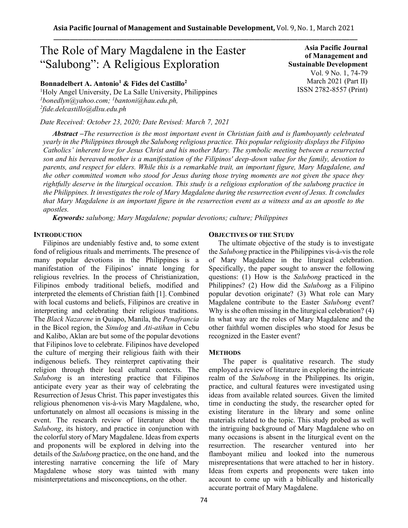# The Role of Mary Magdalene in the Easter "Salubong": A Religious Exploration

**Bonnadelbert A. Antonio<sup>1</sup> & Fides del Castillo<sup>2</sup>**

<sup>1</sup>Holy Angel University, De La Salle University, Philippines *<sup>1</sup>bonedlyn@yahoo.com; <sup>1</sup>bantoni@hau.edu.ph, 2 fide.delcastillo@dlsu.edu.ph*

*Date Received: October 23, 2020; Date Revised: March 7, 2021*

*Abstract –The resurrection is the most important event in Christian faith and is flamboyantly celebrated yearly in the Philippines through the Salubong religious practice. This popular religiosity displays the Filipino Catholics' inherent love for Jesus Christ and his mother Mary. The symbolic meeting between a resurrected son and his bereaved mother is a manifestation of the Filipinos' deep-down value for the family, devotion to parents, and respect for elders. While this is a remarkable trait, an important figure, Mary Magdalene, and the other committed women who stood for Jesus during those trying moments are not given the space they rightfully deserve in the liturgical occasion. This study is a religious exploration of the salubong practice in the Philippines. It investigates the role of Mary Magdalene during the resurrection event of Jesus. It concludes that Mary Magdalene is an important figure in the resurrection event as a witness and as an apostle to the apostles.*

*Keywords: salubong; Mary Magdalene; popular devotions; culture; Philippines*

### **INTRODUCTION**

Filipinos are undeniably festive and, to some extent fond of religious rituals and merriments. The presence of many popular devotions in the Philippines is a manifestation of the Filipinos' innate longing for religious revelries. In the process of Christianization, Filipinos embody traditional beliefs, modified and interpreted the elements of Christian faith [1]. Combined with local customs and beliefs, Filipinos are creative in interpreting and celebrating their religious traditions. The *Black Nazarene* in Quiapo, Manila, the *Penafrancia* in the Bicol region, the *Sinulog* and *Ati-atihan* in Cebu and Kalibo, Aklan are but some of the popular devotions that Filipinos love to celebrate. Filipinos have developed the culture of merging their religious faith with their indigenous beliefs. They reinterpret captivating their religion through their local cultural contexts. The *Salubong* is an interesting practice that Filipinos anticipate every year as their way of celebrating the Resurrection of Jesus Christ. This paper investigates this religious phenomenon vis-à-vis Mary Magdalene, who, unfortunately on almost all occasions is missing in the event. The research review of literature about the *Salubong*, its history, and practice in conjunction with the colorful story of Mary Magdalene. Ideas from experts and proponents will be explored in delving into the details of the *Salubong* practice, on the one hand, and the interesting narrative concerning the life of Mary Magdalene whose story was tainted with many misinterpretations and misconceptions, on the other.

#### **OBJECTIVES OF THE STUDY**

The ultimate objective of the study is to investigate the *Salubong* practice in the Philippines vis-à-vis the role of Mary Magdalene in the liturgical celebration. Specifically, the paper sought to answer the following questions: (1) How is the *Salubong* practiced in the Philippines? (2) How did the *Salubong* as a Filipino popular devotion originate? (3) What role can Mary Magdalene contribute to the Easter *Salubong* event? Why is she often missing in the liturgical celebration? (4) In what way are the roles of Mary Magdalene and the other faithful women disciples who stood for Jesus be recognized in the Easter event?

#### **METHODS**

The paper is qualitative research. The study employed a review of literature in exploring the intricate realm of the *Salubong* in the Philippines. Its origin, practice, and cultural features were investigated using ideas from available related sources. Given the limited time in conducting the study, the researcher opted for existing literature in the library and some online materials related to the topic. This study probed as well the intriguing background of Mary Magdalene who on many occasions is absent in the liturgical event on the resurrection. The researcher ventured into her flamboyant milieu and looked into the numerous misrepresentations that were attached to her in history. Ideas from experts and proponents were taken into account to come up with a biblically and historically accurate portrait of Mary Magdalene.

**of Management and Sustainable Development**  Vol. 9 No. 1, 74-79 March 2021 (Part II) ISSN 2782-8557 (Print)

**Asia Pacific Journal**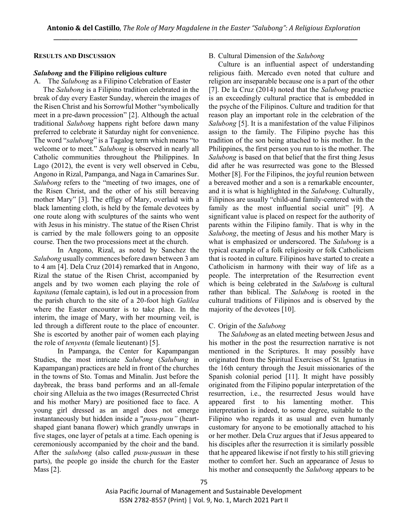### **RESULTS AND DISCUSSION**

## *Salubong* **and the Filipino religious culture**

A. The *Salubong* as a Filipino Celebration of Easter The *Salubong* is a Filipino tradition celebrated in the break of day every Easter Sunday, wherein the images of the Risen Christ and his Sorrowful Mother "symbolically meet in a pre-dawn procession" [2]. Although the actual traditional *Salubong* happens right before dawn many preferred to celebrate it Saturday night for convenience. The word "*salubong*" is a Tagalog term which means "to welcome or to meet." *Salubong* is observed in nearly all Catholic communities throughout the Philippines. In Lago (2012), the event is very well observed in Cebu, Angono in Rizal, Pampanga, and Naga in Camarines Sur. *Salubong* refers to the "meeting of two images, one of the Risen Christ, and the other of his still bereaving mother Mary" [3]. The effigy of Mary, overlaid with a black lamenting cloth, is held by the female devotees by one route along with sculptures of the saints who went with Jesus in his ministry. The statue of the Risen Christ is carried by the male followers going to an opposite course. Then the two processions meet at the church.

In Angono, Rizal, as noted by Sanchez the *Salubong* usually commences before dawn between 3 am to 4 am [4]. Dela Cruz (2014) remarked that in Angono, Rizal the statue of the Risen Christ, accompanied by angels and by two women each playing the role of *kapitana* (female captain), is led out in a procession from the parish church to the site of a 20-foot high *Galilea*  where the Easter encounter is to take place. In the interim, the image of Mary, with her mourning veil, is led through a different route to the place of encounter. She is escorted by another pair of women each playing the role of *tenyenta* (female lieutenant) [5].

In Pampanga, the Center for Kapampangan Studies, the most intricate *Salubong* (*Salubung* in Kapampangan) practices are held in front of the churches in the towns of Sto. Tomas and Minalin. Just before the daybreak, the brass band performs and an all-female choir sing Alleluia as the two images (Resurrected Christ and his mother Mary) are positioned face to face. A young girl dressed as an angel does not emerge instantaneously but hidden inside a "*pusu-pusu"* (heartshaped giant banana flower) which grandly unwraps in five stages, one layer of petals at a time. Each opening is ceremoniously accompanied by the choir and the band. After the *salubong* (also called *pusu-pusuan* in these parts), the people go inside the church for the Easter Mass [2].

# B. Cultural Dimension of the *Salubong*

Culture is an influential aspect of understanding religious faith. Mercado even noted that culture and religion are inseparable because one is a part of the other [7]. De la Cruz (2014) noted that the *Salubong* practice is an exceedingly cultural practice that is embedded in the psyche of the Filipinos. Culture and tradition for that reason play an important role in the celebration of the *Salubong* [5]. It is a manifestation of the value Filipinos assign to the family. The Filipino psyche has this tradition of the son being attached to his mother. In the Philippines, the first person you run to is the mother. The *Salubong* is based on that belief that the first thing Jesus did after he was resurrected was gone to the Blessed Mother [8]. For the Filipinos, the joyful reunion between a bereaved mother and a son is a remarkable encounter, and it is what is highlighted in the *Salubong*. Culturally, Filipinos are usually "child-and family-centered with the family as the most influential social unit" [9]. A significant value is placed on respect for the authority of parents within the Filipino family. That is why in the *Salubong*, the meeting of Jesus and his mother Mary is what is emphasized or underscored. The *Salubong* is a typical example of a folk religiosity or folk Catholicism that is rooted in culture. Filipinos have started to create a Catholicism in harmony with their way of life as a people. The interpretation of the Resurrection event which is being celebrated in the *Salubong* is cultural rather than biblical. The *Salubong* is rooted in the cultural traditions of Filipinos and is observed by the majority of the devotees [10].

# C. Origin of the *Salubong*

The *Salubong* as an elated meeting between Jesus and his mother in the post the resurrection narrative is not mentioned in the Scriptures. It may possibly have originated from the Spiritual Exercises of St. Ignatius in the 16th century through the Jesuit missionaries of the Spanish colonial period [11]. It might have possibly originated from the Filipino popular interpretation of the resurrection, i.e., the resurrected Jesus would have appeared first to his lamenting mother. This interpretation is indeed, to some degree, suitable to the Filipino who regards it as usual and even humanly customary for anyone to be emotionally attached to his or her mother. Dela Cruz argues that if Jesus appeared to his disciples after the resurrection it is similarly possible that he appeared likewise if not firstly to his still grieving mother to comfort her. Such an appearance of Jesus to his mother and consequently the *Salubong* appears to be

Asia Pacific Journal of Management and Sustainable Development ISSN 2782-8557 (Print) | Vol. 9, No. 1, March 2021 Part II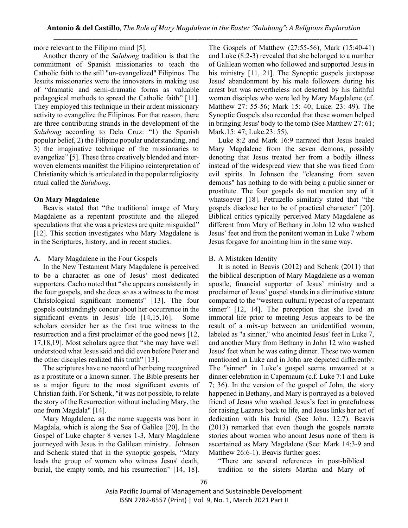more relevant to the Filipino mind [5].

Another theory of the *Salubong* tradition is that the commitment of Spanish missionaries to teach the Catholic faith to the still "un-evangelized" Filipinos. The Jesuits missionaries were the innovators in making use of "dramatic and semi-dramatic forms as valuable pedagogical methods to spread the Catholic faith" [11]. They employed this technique in their ardent missionary activity to evangelize the Filipinos. For that reason, there are three contributing strands in the development of the *Salubong* according to Dela Cruz: "1) the Spanish popular belief, 2) the Filipino popular understanding, and 3) the imaginative technique of the missionaries to evangelize" [5]. These three creatively blended and interwoven elements manifest the Filipino reinterpretation of Christianity which is articulated in the popular religiosity ritual called the *Salubong*.

## **On Mary Magdalene**

Beavis stated that "the traditional image of Mary Magdalene as a repentant prostitute and the alleged speculations that she was a priestess are quite misguided" [12]. This section investigates who Mary Magdalene is in the Scriptures, history, and in recent studies.

## A. Mary Magdalene in the Four Gospels

In the New Testament Mary Magdalene is perceived to be a character as one of Jesus' most dedicated supporters. Cacho noted that "she appears consistently in the four gospels, and she does so as a witness to the most Christological significant moments" [13]. The four gospels outstandingly concur about her occurrence in the significant events in Jesus' life [14,15,16]. Some scholars consider her as the first true witness to the resurrection and a first proclaimer of the good news [12, 17,18,19]. Most scholars agree that "she may have well understood what Jesus said and did even before Peter and the other disciples realized this truth" [13].

The scriptures have no record of her being recognized as a prostitute or a known sinner. The Bible presents her as a major figure to the most significant events of Christian faith. For Schenk, "it was not possible, to relate the story of the Resurrection without including Mary, the one from Magdala" [14].

Mary Magdalene, as the name suggests was born in Magdala, which is along the Sea of Galilee [20]. In the Gospel of Luke chapter 8 verses 1-3, Mary Magdalene journeyed with Jesus in the Galilean ministry. Johnson and Schenk stated that in the synoptic gospels, "Mary leads the group of women who witness Jesus' death, burial, the empty tomb, and his resurrection" [14, 18]. The Gospels of Matthew (27:55-56), Mark (15:40-41) and Luke (8:2-3) revealed that she belonged to a number of Galilean women who followed and supported Jesus in his ministry [11, 21]. The Synoptic gospels juxtapose Jesus' abandonment by his male followers during his arrest but was nevertheless not deserted by his faithful women disciples who were led by Mary Magdalene (cf. Matthew 27: 55-56; Mark 15: 40; Luke. 23: 49). The Synoptic Gospels also recorded that these women helped in bringing Jesus' body to the tomb (See Matthew 27: 61; Mark.15: 47; Luke.23: 55).

Luke 8:2 and Mark 16:9 narrated that Jesus healed Mary Magdalene from the seven demons, possibly denoting that Jesus treated her from a bodily illness instead of the widespread view that she was freed from evil spirits. In Johnson the "cleansing from seven demons" has nothing to do with being a public sinner or prostitute. The four gospels do not mention any of it whatsoever [18]. Petruzello similarly stated that "the gospels disclose her to be of practical character" [20]. Biblical critics typically perceived Mary Magdalene as different from Mary of Bethany in John 12 who washed Jesus' feet and from the penitent woman in Luke 7 whom Jesus forgave for anointing him in the same way.

# B. A Mistaken Identity

It is noted in Beavis (2012) and Schenk (2011) that the biblical description of Mary Magdalene as a woman apostle, financial supporter of Jesus' ministry and a proclaimer of Jesus' gospel stands in a diminutive stature compared to the "western cultural typecast of a repentant sinner" [12, 14]. The perception that she lived an immoral life prior to meeting Jesus appears to be the result of a mix-up between an unidentified woman, labeled as "a sinner," who anointed Jesus' feet in Luke 7, and another Mary from Bethany in John 12 who washed Jesus' feet when he was eating dinner. These two women mentioned in Luke and in John are depicted differently: The "sinner" in Luke's gospel seems unwanted at a dinner celebration in Capernaum (c.f. Luke 7:1 and Luke 7; 36). In the version of the gospel of John, the story happened in Bethany, and Mary is portrayed as a beloved friend of Jesus who washed Jesus's feet in gratefulness for raising Lazarus back to life, and Jesus links her act of dedication with his burial (See John. 12:7). Beavis (2013) remarked that even though the gospels narrate stories about women who anoint Jesus none of them is ascertained as Mary Magdalene (See: Mark 14:3-9 and Matthew 26:6-1). Beavis further goes:

"There are several references in post-biblical tradition to the sisters Martha and Mary of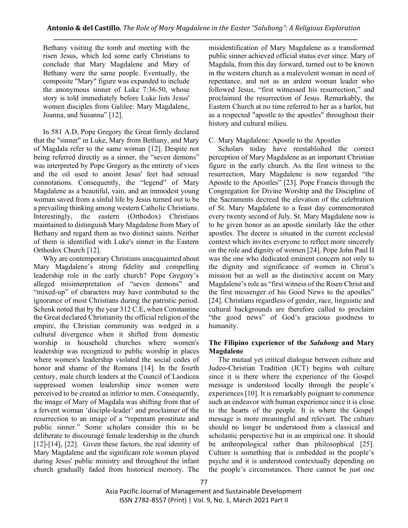Bethany visiting the tomb and meeting with the risen Jesus, which led some early Christians to conclude that Mary Magdalene and Mary of Bethany were the same people. Eventually, the composite "Mary" figure was expanded to include the anonymous sinner of Luke 7:36-50, whose story is told immediately before Luke lists Jesus' women disciples from Galilee: Mary Magdalene, Joanna, and Susanna" [12].

In 581 A.D, Pope Gregory the Great firmly declared that the "sinner" in Luke, Mary from Bethany, and Mary of Magdala refer to the same woman [12]. Despite not being referred directly as a sinner, the "seven demons" was interpreted by Pope Gregory as the entirety of vices and the oil used to anoint Jesus' feet had sensual connotations. Consequently, the "legend" of Mary Magdalene as a beautiful, vain, and an immodest young woman saved from a sinful life by Jesus turned out to be a prevailing thinking among western Catholic Christians. Interestingly, the eastern (Orthodox) Christians maintained to distinguish Mary Magdalene from Mary of Bethany and regard them as two distinct saints. Neither of them is identified with Luke's sinner in the Eastern Orthodox Church [12].

Why are contemporary Christians unacquainted about Mary Magdalene's strong fidelity and compelling leadership role in the early church? Pope Gregory's alleged misinterpretation of "seven demons" and "mixed-up" of characters may have contributed to the ignorance of most Christians during the patristic period. Schenk noted that by the year 312 C.E, when Constantine the Great declared Christianity the official religion of the empire, the Christian community was wedged in a cultural divergence when it shifted from domestic worship in household churches where women's leadership was recognized to public worship in places where women's leadership violated the social codes of honor and shame of the Romans [14]. In the fourth century, male church leaders at the Council of Laodicea suppressed women leadership since women were perceived to be created as inferior to men. Consequently, the image of Mary of Magdala was shifting from that of a fervent woman 'disciple-leader' and proclaimer of the resurrection to an image of a "repentant prostitute and public sinner." Some scholars consider this to be deliberate to discourage female leadership in the church [12]-[14], [22]. Given these factors, the real identity of Mary Magdalene and the significant role women played during Jesus' public ministry and throughout the infant church gradually faded from historical memory. The misidentification of Mary Magdalene as a transformed public sinner achieved official status ever since. Mary of Magdala, from this day forward, turned out to be known in the western church as a malevolent woman in need of repentance, and not as an ardent woman leader who followed Jesus, "first witnessed his resurrection," and proclaimed the resurrection of Jesus. Remarkably, the Eastern Church at no time referred to her as a harlot, but as a respected "apostle to the apostles" throughout their history and cultural milieu.

C. Mary Magdalene: Apostle to the Apostles

Scholars today have reestablished the correct perception of Mary Magdalene as an important Christian figure in the early church. As the first witness to the resurrection, Mary Magdalene is now regarded "the Apostle to the Apostles" [23]. Pope Francis through the Congregation for Divine Worship and the Discipline of the Sacraments decreed the elevation of the celebration of St. Mary Magdalene to a feast day commemorated every twenty second of July. St. Mary Magdalene now is to be given honor as an apostle similarly like the other apostles. The decree is situated in the current ecclesial context which invites everyone to reflect more sincerely on the role and dignity of women [24]. Pope John Paul II was the one who dedicated eminent concern not only to the dignity and significance of women in Christ's mission but as well as the distinctive accent on Mary Magdalene's role as "first witness of the Risen Christ and the first messenger of his Good News to the apostles" [24]. Christians regardless of gender, race, linguistic and cultural backgrounds are therefore called to proclaim "the good news" of God's gracious goodness to humanity.

## **The Filipino experience of the** *Salubong* **and Mary Magdalene**

The mutual yet critical dialogue between culture and Judeo-Christian Tradition (JCT) begins with culture since it is there where the experience of the Gospel message is understood locally through the people's experiences [10]. It is remarkably poignant to commence such an endeavor with human experience since it is close to the hearts of the people. It is where the Gospel message is more meaningful and relevant. The culture should no longer be understood from a classical and scholastic perspective but in an empirical one. It should be anthropological rather than philosophical [25]. Culture is something that is embedded in the people's psyche and it is understood contextually depending on the people's circumstances. There cannot be just one

Asia Pacific Journal of Management and Sustainable Development ISSN 2782-8557 (Print) | Vol. 9, No. 1, March 2021 Part II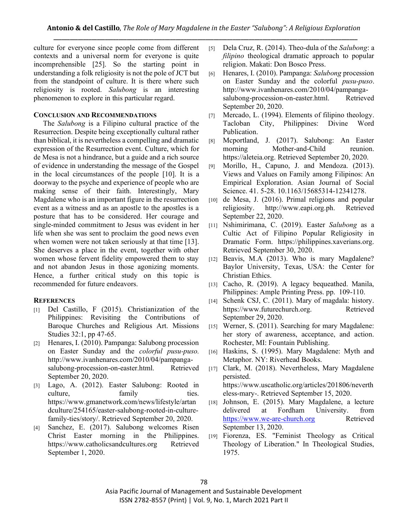culture for everyone since people come from different contexts and a universal norm for everyone is quite incomprehensible [25]. So the starting point in understanding a folk religiosity is not the pole of JCT but from the standpoint of culture. It is there where such religiosity is rooted. *Salubong* is an interesting phenomenon to explore in this particular regard.

## **CONCLUSION AND RECOMMENDATIONS**

The *Salubong* is a Filipino cultural practice of the Resurrection. Despite being exceptionally cultural rather than biblical, it is nevertheless a compelling and dramatic expression of the Resurrection event. Culture, which for de Mesa is not a hindrance, but a guide and a rich source of evidence in understanding the message of the Gospel in the local circumstances of the people [10]. It is a doorway to the psyche and experience of people who are making sense of their faith. Interestingly, Mary Magdalene who is an important figure in the resurrection event as a witness and as an apostle to the apostles is a posture that has to be considered. Her courage and single-minded commitment to Jesus was evident in her life when she was sent to proclaim the good news even when women were not taken seriously at that time [13]. She deserves a place in the event, together with other women whose fervent fidelity empowered them to stay and not abandon Jesus in those agonizing moments. Hence, a further critical study on this topic is recommended for future endeavors.

## **REFERENCES**

- [1] Del Castillo, F (2015). Christianization of the Philippines: Revisiting the Contributions of Baroque Churches and Religious Art. Missions Studies 32:1, pp 47-65.
- [2] Henares, I. (2010). Pampanga: Salubong procession on Easter Sunday and the *colorful pusu-puso.*  http://www.ivanhenares.com/2010/04/pampangasalubong-procession-on-easter.html. Retrieved September 20, 2020.
- [3] Lago, A. (2012). Easter Salubong: Rooted in culture, family ties. https://www.gmanetwork.com/news/lifestyle/artan dculture/254165/easter-salubong-rooted-in-culturefamily-ties/story/. Retrieved September 20, 2020.
- [4] Sanchez, E. (2017). Salubong welcomes Risen Christ Easter morning in the Philippines. https://www.catholicsandcultures.org Retrieved September 1, 2020.
- [5] Dela Cruz, R. (2014). Theo-dula of the *Salubong*: a *filipino* theological dramatic approach to popular religion. Makati: Don Bosco Press.
- [6] Henares, I. (2010). Pampanga: *Salubong* procession on Easter Sunday and the colorful *pusu-puso*. http://www.ivanhenares.com/2010/04/pampangasalubong-procession-on-easter.html. Retrieved September 20, 2020.
- [7] Mercado, L. (1994). Elements of filipino theology. Tacloban City, Philippines: Divine Word Publication.
- [8] Mcportland, J. (2017). Salubong: An Easter morning Mother-and-Child reunion. https://aleteia.org. Retrieved September 20, 2020.
- [9] Morillo, H., Capuno, J. and Mendoza. (2013). Views and Values on Family among Filipinos: An Empirical Exploration. Asian Journal of Social Science. 41. 5-28. 10.1163/15685314-12341278.
- [10] de Mesa, J. (2016). Primal religions and popular religiosity. http://www.eapi.org.ph. Retrieved September 22, 2020.
- [11] Nshimirimana, C. (2019). Easter *Salubong* as a Cultic Act of Filipino Popular Religiosity in Dramatic Form. https://philippines.xaverians.org. Retrieved September 30, 2020.
- [12] Beavis, M.A (2013). Who is mary Magdalene? Baylor University, Texas, USA: the Center for Christian Ethics.
- [13] Cacho, R. (2019). A legacy bequeathed. Manila, Philippines: Ample Printing Press. pp. 109-110.
- [14] Schenk CSJ, C. (2011). Mary of magdala: history. https://www.futurechurch.org. Retrieved September 29, 2020.
- [15] Werner, S. (2011). Searching for mary Magdalene: her story of awareness, acceptance, and action. Rochester, MI: Fountain Publishing.
- [16] Haskins, S. (1995). Mary Magdalene: Myth and Metaphor. NY: Riverhead Books.
- [17] Clark, M. (2018). Nevertheless, Mary Magdalene persisted. https://www.uscatholic.org/articles/201806/neverth eless-mary-. Retrieved September 15, 2020.
- [18] Johnson, E. (2015). Mary Magdalene, a lecture delivered at Fordham University. from [https://www.we-are-church.org](about:blank) Retrieved September 13, 2020.
- [19] Fiorenza, ES. "Feminist Theology as Critical Theology of Liberation." In Theological Studies, 1975.

Asia Pacific Journal of Management and Sustainable Development ISSN 2782-8557 (Print) | Vol. 9, No. 1, March 2021 Part II